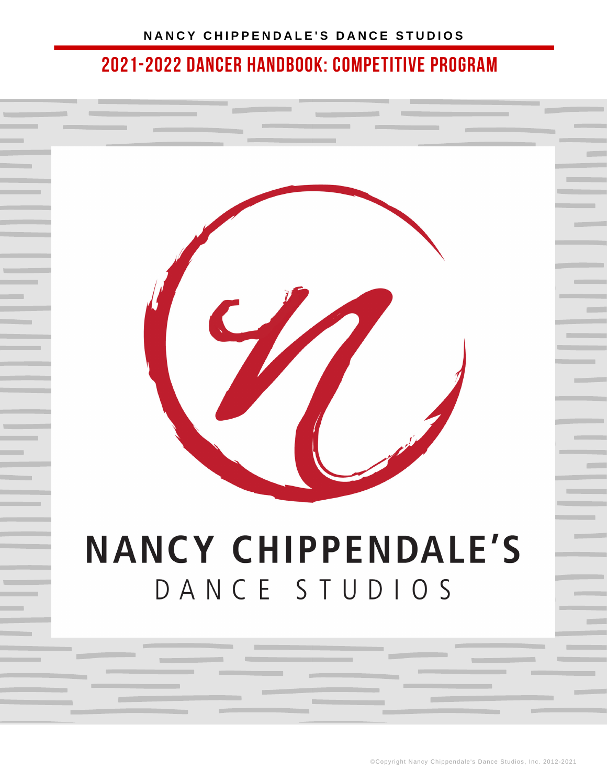

# **NANCY CHIPPENDALE'S** DANCE STUDIOS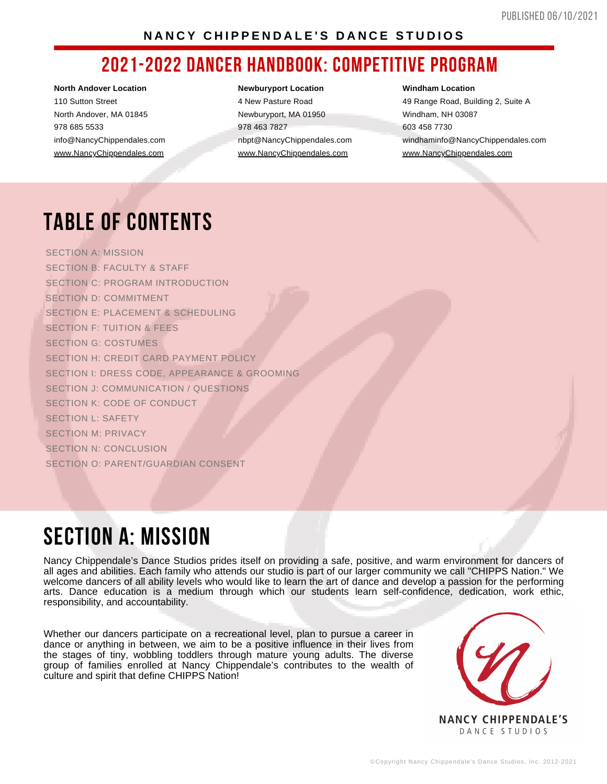#### NANCY CHIPPENDALE'S DANCE STUDIOS

### **2021-2022 DANCER HANDBOOK: COMPETITIVE PROGRAM**

**North Andover Location** 110 Sutton Street North Andover, MA 01845 978 685 5533 info@NancyChippendales.com [www.NancyChippendales.com](https://www.nancychippendalesdancestudios.com/)

#### **Newburyport Location**

4 New Pasture Road Newburyport, MA 01950 978 463 7827 nbpt@NancyChippendales.com [www.NancyChippendales.com](https://www.nancychippendalesdancestudios.com/)

**Windham Location**

49 Range Road, Building 2, Suite A Windham, NH 03087 603 458 7730 windhaminfo@NancyChippendales.com [www.NancyChippendales.com](https://www.nancychippendalesdancestudios.com/)

# **TABLE OF CONTENTS**

SECTION A: MISSION SECTION B: FACULTY & STAFF SECTION C: PROGRAM INTRODUCTION SECTION D: COMMITMENT SECTION E: PLACEMENT & SCHEDULING SECTION F: TUITION & FEES SECTION G: COSTUMES SECTION H: CREDIT CARD PAYMENT POLICY SECTION I: DRESS CODE, APPEARANCE & GROOMING SECTION J: COMMUNICATION / QUESTIONS SECTION K: CODE OF CONDUCT SECTION L: SAFETY SECTION M: PRIVACY SECTION N: CONCLUSION SECTION O: PARENT/GUARDIAN CONSENT

## **SECTION A: MISSION**

Nancy Chippendale's Dance Studios prides itself on providing a safe, positive, and warm environment for dancers of all ages and abilities. Each family who attends our studio is part of our larger community we call "CHIPPS Nation." We welcome dancers of all ability levels who would like to learn the art of dance and develop a passion for the performing arts. Dance education is a medium through which our students learn self-confidence, dedication, work ethic, responsibility, and accountability.

Whether our dancers participate on a recreational level, plan to pursue a career in dance or anything in between, we aim to be a positive influence in their lives from the stages of tiny, wobbling toddlers through mature young adults. The diverse group of families enrolled at Nancy Chippendale's contributes to the wealth of culture and spirit that define CHIPPS Nation!

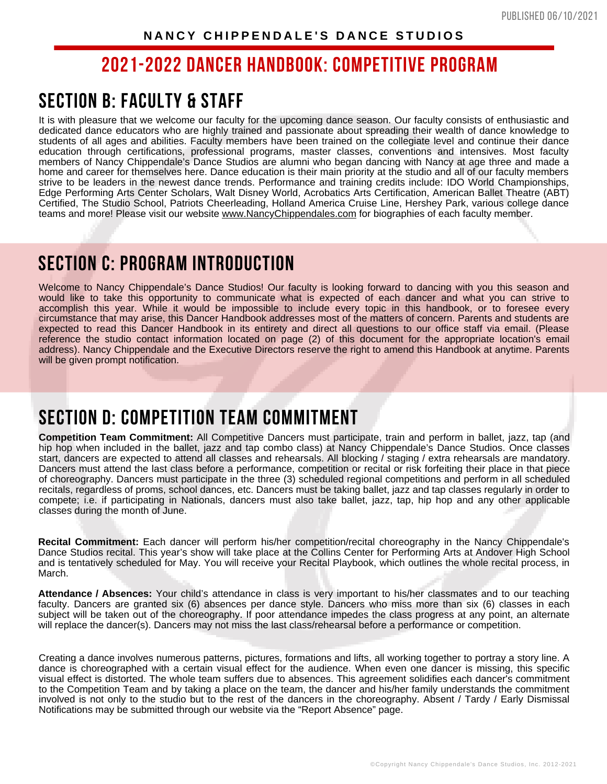### **SECTION B: FACULTY & STAFF**

It is with pleasure that we welcome our faculty for the upcoming dance season. Our faculty consists of enthusiastic and dedicated dance educators who are highly trained and passionate about spreading their wealth of dance knowledge to students of all ages and abilities. Faculty members have been trained on the collegiate level and continue their dance education through certifications, professional programs, master classes, conventions and intensives. Most faculty members of Nancy Chippendale's Dance Studios are alumni who began dancing with Nancy at age three and made a home and career for themselves here. Dance education is their main priority at the studio and all of our faculty members strive to be leaders in the newest dance trends. Performance and training credits include: IDO World Championships, Edge Performing Arts Center Scholars, Walt Disney World, Acrobatics Arts Certification, American Ballet Theatre (ABT) Certified, The Studio School, Patriots Cheerleading, Holland America Cruise Line, Hershey Park, various college dance teams and more! Please visit our website [www.NancyChippendales.com](https://www.nancychippendalesdancestudios.com/) for biographies of each faculty member.

### **SECTION C: PROGRAM INTRODUCTION**

Welcome to Nancy Chippendale's Dance Studios! Our faculty is looking forward to dancing with you this season and would like to take this opportunity to communicate what is expected of each dancer and what you can strive to accomplish this year. While it would be impossible to include every topic in this handbook, or to foresee every circumstance that may arise, this Dancer Handbook addresses most of the matters of concern. Parents and students are expected to read this Dancer Handbook in its entirety and direct all questions to our office staff via email. (Please reference the studio contact information located on page (2) of this document for the appropriate location's email address). Nancy Chippendale and the Executive Directors reserve the right to amend this Handbook at anytime. Parents will be given prompt notification.

### **SECTION D: COMPETITION TEAM COMMITMENT**

**Competition Team Commitment:** All Competitive Dancers must participate, train and perform in ballet, jazz, tap (and hip hop when included in the ballet, jazz and tap combo class) at Nancy Chippendale's Dance Studios. Once classes start, dancers are expected to attend all classes and rehearsals. All blocking / staging / extra rehearsals are mandatory. Dancers must attend the last class before a performance, competition or recital or risk forfeiting their place in that piece of choreography. Dancers must participate in the three (3) scheduled regional competitions and perform in all scheduled recitals, regardless of proms, school dances, etc. Dancers must be taking ballet, jazz and tap classes regularly in order to compete; i.e. if participating in Nationals, dancers must also take ballet, jazz, tap, hip hop and any other applicable classes during the month of June.

**Recital Commitment:** Each dancer will perform his/her competition/recital choreography in the Nancy Chippendale's Dance Studios recital. This year's show will take place at the Collins Center for Performing Arts at Andover High School and is tentatively scheduled for May. You will receive your Recital Playbook, which outlines the whole recital process, in March.

**Attendance / Absences:** Your child's attendance in class is very important to his/her classmates and to our teaching faculty. Dancers are granted six (6) absences per dance style. Dancers who miss more than six (6) classes in each subject will be taken out of the choreography. If poor attendance impedes the class progress at any point, an alternate will replace the dancer(s). Dancers may not miss the last class/rehearsal before a performance or competition.

Creating a dance involves numerous patterns, pictures, formations and lifts, all working together to portray a story line. A dance is choreographed with a certain visual effect for the audience. When even one dancer is missing, this specific visual effect is distorted. The whole team suffers due to absences. This agreement solidifies each dancer's commitment to the Competition Team and by taking a place on the team, the dancer and his/her family understands the commitment involved is not only to the studio but to the rest of the dancers in the choreography. Absent / Tardy / Early Dismissal Notifications may be submitted through our website via the "Report Absence" page.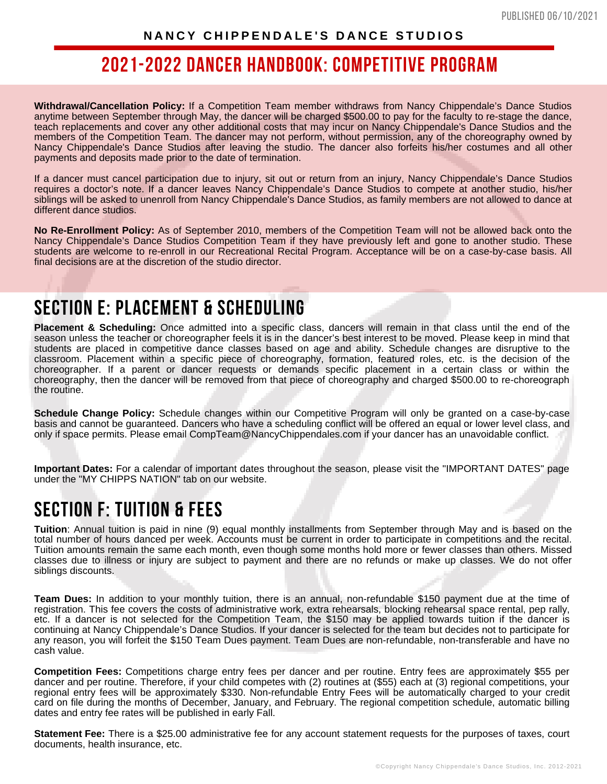**Withdrawal/Cancellation Policy:** If a Competition Team member withdraws from Nancy Chippendale's Dance Studios anytime between September through May, the dancer will be charged \$500.00 to pay for the faculty to re-stage the dance, teach replacements and cover any other additional costs that may incur on Nancy Chippendale's Dance Studios and the members of the Competition Team. The dancer may not perform, without permission, any of the choreography owned by Nancy Chippendale's Dance Studios after leaving the studio. The dancer also forfeits his/her costumes and all other payments and deposits made prior to the date of termination.

If a dancer must cancel participation due to injury, sit out or return from an injury, Nancy Chippendale's Dance Studios requires a doctor's note. If a dancer leaves Nancy Chippendale's Dance Studios to compete at another studio, his/her siblings will be asked to unenroll from Nancy Chippendale's Dance Studios, as family members are not allowed to dance at different dance studios.

**No Re-Enrollment Policy:** As of September 2010, members of the Competition Team will not be allowed back onto the Nancy Chippendale's Dance Studios Competition Team if they have previously left and gone to another studio. These students are welcome to re-enroll in our Recreational Recital Program. Acceptance will be on a case-by-case basis. All final decisions are at the discretion of the studio director.

### **SECTION E: PLACEMENT & SCHEDULING**

**Placement & Scheduling:** Once admitted into a specific class, dancers will remain in that class until the end of the season unless the teacher or choreographer feels it is in the dancer's best interest to be moved. Please keep in mind that students are placed in competitive dance classes based on age and ability. Schedule changes are disruptive to the classroom. Placement within a specific piece of choreography, formation, featured roles, etc. is the decision of the choreographer. If a parent or dancer requests or demands specific placement in a certain class or within the choreography, then the dancer will be removed from that piece of choreography and charged \$500.00 to re-choreograph the routine.

**Schedule Change Policy:** Schedule changes within our Competitive Program will only be granted on a case-by-case basis and cannot be guaranteed. Dancers who have a scheduling conflict will be offered an equal or lower level class, and only if space permits. Please email CompTeam@NancyChippendales.com if your dancer has an unavoidable conflict.

**Important Dates:** For a calendar of important dates throughout the season, please visit the "IMPORTANT DATES" page under the "MY CHIPPS NATION" tab on our website.

### **SECTION F: TUITION & FEES**

**Tuition**: Annual tuition is paid in nine (9) equal monthly installments from September through May and is based on the total number of hours danced per week. Accounts must be current in order to participate in competitions and the recital. Tuition amounts remain the same each month, even though some months hold more or fewer classes than others. Missed classes due to illness or injury are subject to payment and there are no refunds or make up classes. We do not offer siblings discounts.

**Team Dues:** In addition to your monthly tuition, there is an annual, non-refundable \$150 payment due at the time of registration. This fee covers the costs of administrative work, extra rehearsals, blocking rehearsal space rental, pep rally, etc. If a dancer is not selected for the Competition Team, the \$150 may be applied towards tuition if the dancer is continuing at Nancy Chippendale's Dance Studios. If your dancer is selected for the team but decides not to participate for any reason, you will forfeit the \$150 Team Dues payment. Team Dues are non-refundable, non-transferable and have no cash value.

**Competition Fees:** Competitions charge entry fees per dancer and per routine. Entry fees are approximately \$55 per dancer and per routine. Therefore, if your child competes with (2) routines at (\$55) each at (3) regional competitions, your regional entry fees will be approximately \$330. Non-refundable Entry Fees will be automatically charged to your credit card on file during the months of December, January, and February. The regional competition schedule, automatic billing dates and entry fee rates will be published in early Fall.

**Statement Fee:** There is a \$25.00 administrative fee for any account statement requests for the purposes of taxes, court documents, health insurance, etc.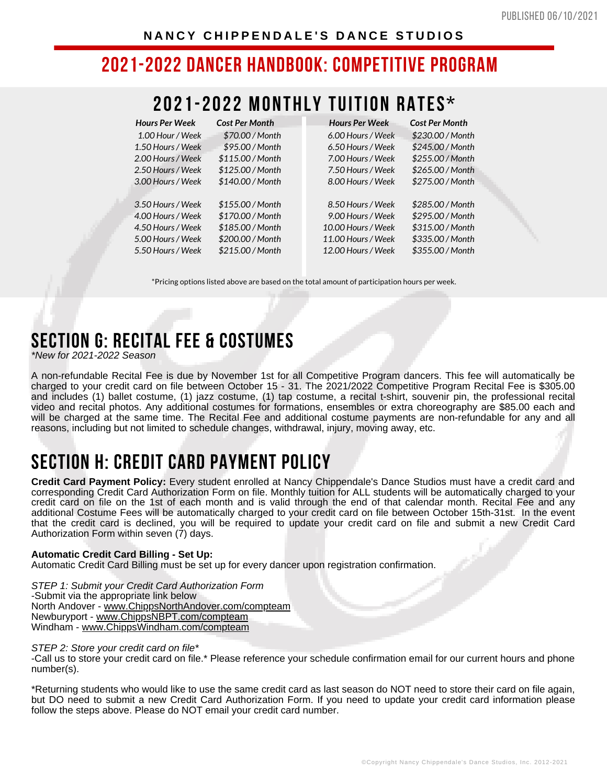### **2021-2022 MONTHLY TUITION RATES\***

| <b>Hours Per Week</b> | <b>Cost Per Month</b> | <b>Hours Per Week</b> | <b>Cost Per Month</b> |
|-----------------------|-----------------------|-----------------------|-----------------------|
| 1.00 Hour / Week      | \$70.00 / Month       | 6.00 Hours / Week     | \$230.00 / Month      |
| 1.50 Hours / Week     | \$95.00 / Month       | 6.50 Hours / Week     | \$245.00 / Month      |
| 2.00 Hours / Week     | \$115.00 / Month      | 7.00 Hours / Week     | \$255.00 / Month      |
| 2.50 Hours / Week     | \$125.00 / Month      | 7.50 Hours / Week     | \$265.00 / Month      |
| 3.00 Hours / Week     | \$140.00 / Month      | 8.00 Hours / Week     | \$275.00 / Month      |
| 3.50 Hours / Week     | \$155.00 / Month      | 8.50 Hours / Week     | \$285.00 / Month      |
| 4.00 Hours / Week     | \$170.00 / Month      | 9.00 Hours / Week     | \$295.00 / Month      |
| 4.50 Hours / Week     | \$185.00 / Month      | 10.00 Hours / Week    | \$315.00 / Month      |
| 5.00 Hours / Week     | \$200.00 / Month      | 11.00 Hours / Week    | \$335.00 / Month      |
| 5.50 Hours / Week     | \$215.00 / Month      | 12.00 Hours / Week    | \$355.00 / Month      |

\*Pricing options listed above are based on the total amount of participation hours per week.

### **SECTION G: RECITAL FEE & COSTUMES**

*\*New for 2021-2022 Season*

A non-refundable Recital Fee is due by November 1st for all Competitive Program dancers. This fee will automatically be charged to your credit card on file between October 15 - 31. The 2021/2022 Competitive Program Recital Fee is \$305.00 and includes (1) ballet costume, (1) jazz costume, (1) tap costume, a recital t-shirt, souvenir pin, the professional recital video and recital photos. Any additional costumes for formations, ensembles or extra choreography are \$85.00 each and will be charged at the same time. The Recital Fee and additional costume payments are non-refundable for any and all reasons, including but not limited to schedule changes, withdrawal, injury, moving away, etc.

### **SECTION H: CREDIT CARD PAYMENT POLICY**

**Credit Card Payment Policy:** Every student enrolled at Nancy Chippendale's Dance Studios must have a credit card and corresponding Credit Card Authorization Form on file. Monthly tuition for ALL students will be automatically charged to your credit card on file on the 1st of each month and is valid through the end of that calendar month. Recital Fee and any additional Costume Fees will be automatically charged to your credit card on file between October 15th-31st. In the event that the credit card is declined, you will be required to update your credit card on file and submit a new Credit Card Authorization Form within seven (7) days.

#### **Automatic Credit Card Billing - Set Up:**

Automatic Credit Card Billing must be set up for every dancer upon registration confirmation.

*STEP 1: Submit your Credit Card Authorization Form* -Submit via the appropriate link below North Andover - [www.ChippsNorthAndover.com/compteam](https://www.chippsnorthandover.com/compteam) Newburyport - [www.ChippsNBPT.com/compteam](https://www.chippsnbpt.com/compteam) Windham - [www.ChippsWindham.com/compteam](https://www.chippswindham.com/compteam)

#### *STEP 2: Store your credit card on file\**

-Call us to store your credit card on file.\* Please reference your schedule confirmation email for our current hours and phone number(s).

\*Returning students who would like to use the same credit card as last season do NOT need to store their card on file again, but DO need to submit a new Credit Card Authorization Form. If you need to update your credit card information please follow the steps above. Please do NOT email your credit card number.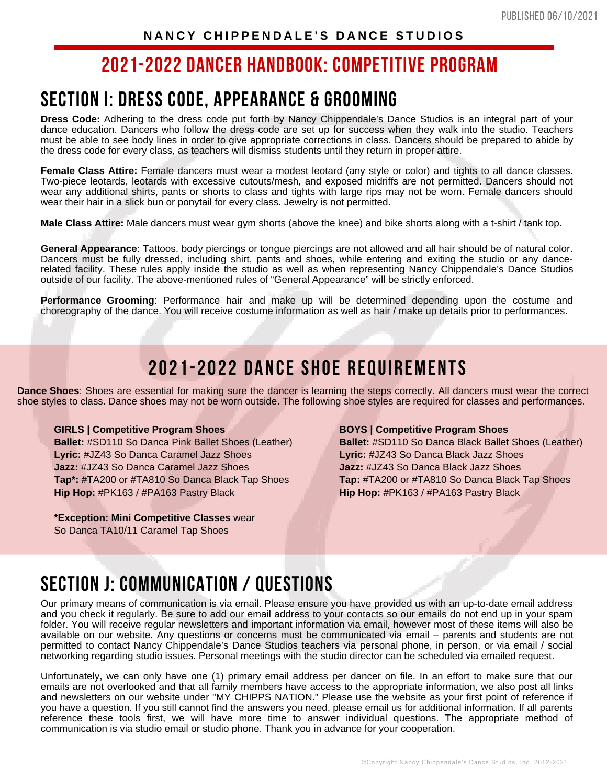### **SECTION I: DRESS CODE, APPEARANCE & GROOMING**

**Dress Code:** Adhering to the dress code put forth by Nancy Chippendale's Dance Studios is an integral part of your dance education. Dancers who follow the dress code are set up for success when they walk into the studio. Teachers must be able to see body lines in order to give appropriate corrections in class. Dancers should be prepared to abide by the dress code for every class, as teachers will dismiss students until they return in proper attire.

**Female Class Attire:** Female dancers must wear a modest leotard (any style or color) and tights to all dance classes. Two-piece leotards, leotards with excessive cutouts/mesh, and exposed midriffs are not permitted. Dancers should not wear any additional shirts, pants or shorts to class and tights with large rips may not be worn. Female dancers should wear their hair in a slick bun or ponytail for every class. Jewelry is not permitted.

**Male Class Attire:** Male dancers must wear gym shorts (above the knee) and bike shorts along with a t-shirt / tank top.

**General Appearance**: Tattoos, body piercings or tongue piercings are not allowed and all hair should be of natural color. Dancers must be fully dressed, including shirt, pants and shoes, while entering and exiting the studio or any dancerelated facility. These rules apply inside the studio as well as when representing Nancy Chippendale's Dance Studios outside of our facility. The above-mentioned rules of "General Appearance" will be strictly enforced.

**Performance Grooming**: Performance hair and make up will be determined depending upon the costume and choreography of the dance. You will receive costume information as well as hair / make up details prior to performances.

### **2021-2022 DANCE SHOE REQUIREMENTS**

**Dance Shoes**: Shoes are essential for making sure the dancer is learning the steps correctly. All dancers must wear the correct shoe styles to class. Dance shoes may not be worn outside. The following shoe styles are required for classes and performances.

#### **GIRLS | Competitive Program Shoes**

**Ballet:** #SD110 So Danca Pink Ballet Shoes (Leather) **Lyric:** #JZ43 So Danca Caramel Jazz Shoes **Jazz:** #JZ43 So Danca Caramel Jazz Shoes **Tap\*:** #TA200 or #TA810 So Danca Black Tap Shoes **Hip Hop:** #PK163 / #PA163 Pastry Black

**\*Exception: Mini Competitive Classes** wear So Danca TA10/11 Caramel Tap Shoes

#### **BOYS | Competitive Program Shoes**

**Ballet:** #SD110 So Danca Black Ballet Shoes (Leather) **Lyric:** #JZ43 So Danca Black Jazz Shoes **Jazz:** #JZ43 So Danca Black Jazz Shoes **Tap:** #TA200 or #TA810 So Danca Black Tap Shoes **Hip Hop:** #PK163 / #PA163 Pastry Black

### **SECTION J: COMMUNICATION / QUESTIONS**

Our primary means of communication is via email. Please ensure you have provided us with an up-to-date email address and you check it regularly. Be sure to add our email address to your contacts so our emails do not end up in your spam folder. You will receive regular newsletters and important information via email, however most of these items will also be available on our website. Any questions or concerns must be communicated via email – parents and students are not permitted to contact Nancy Chippendale's Dance Studios teachers via personal phone, in person, or via email / social networking regarding studio issues. Personal meetings with the studio director can be scheduled via emailed request.

Unfortunately, we can only have one (1) primary email address per dancer on file. In an effort to make sure that our emails are not overlooked and that all family members have access to the appropriate information, we also post all links and newsletters on our website under "MY CHIPPS NATION." Please use the website as your first point of reference if you have a question. If you still cannot find the answers you need, please email us for additional information. If all parents reference these tools first, we will have more time to answer individual questions. The appropriate method of communication is via studio email or studio phone. Thank you in advance for your cooperation.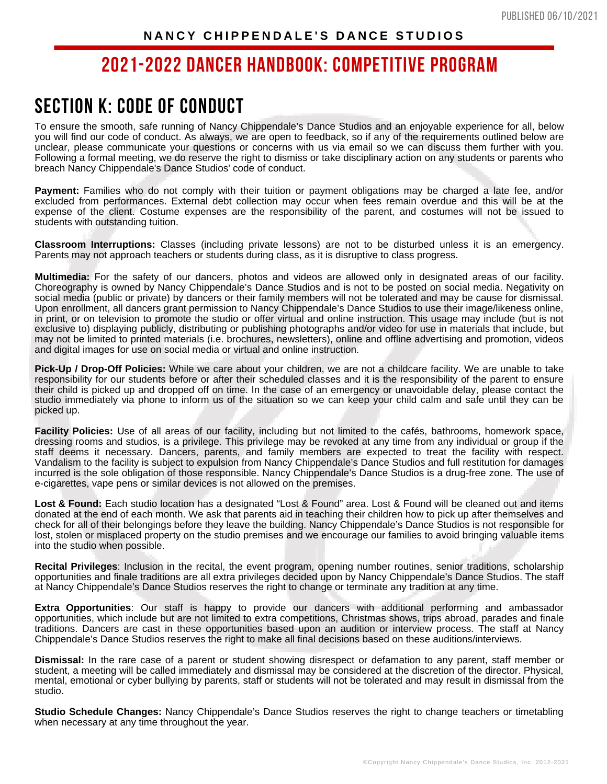### **SECTION K: CODE OF CONDUCT**

To ensure the smooth, safe running of Nancy Chippendale's Dance Studios and an enjoyable experience for all, below you will find our code of conduct. As always, we are open to feedback, so if any of the requirements outlined below are unclear, please communicate your questions or concerns with us via email so we can discuss them further with you. Following a formal meeting, we do reserve the right to dismiss or take disciplinary action on any students or parents who breach Nancy Chippendale's Dance Studios' code of conduct.

**Payment:** Families who do not comply with their tuition or payment obligations may be charged a late fee, and/or excluded from performances. External debt collection may occur when fees remain overdue and this will be at the expense of the client. Costume expenses are the responsibility of the parent, and costumes will not be issued to students with outstanding tuition.

**Classroom Interruptions:** Classes (including private lessons) are not to be disturbed unless it is an emergency. Parents may not approach teachers or students during class, as it is disruptive to class progress.

**Multimedia:** For the safety of our dancers, photos and videos are allowed only in designated areas of our facility. Choreography is owned by Nancy Chippendale's Dance Studios and is not to be posted on social media. Negativity on social media (public or private) by dancers or their family members will not be tolerated and may be cause for dismissal. Upon enrollment, all dancers grant permission to Nancy Chippendale's Dance Studios to use their image/likeness online, in print, or on television to promote the studio or offer virtual and online instruction. This usage may include (but is not exclusive to) displaying publicly, distributing or publishing photographs and/or video for use in materials that include, but may not be limited to printed materials (i.e. brochures, newsletters), online and offline advertising and promotion, videos and digital images for use on social media or virtual and online instruction.

**Pick-Up / Drop-Off Policies:** While we care about your children, we are not a childcare facility. We are unable to take responsibility for our students before or after their scheduled classes and it is the responsibility of the parent to ensure their child is picked up and dropped off on time. In the case of an emergency or unavoidable delay, please contact the studio immediately via phone to inform us of the situation so we can keep your child calm and safe until they can be picked up.

**Facility Policies:** Use of all areas of our facility, including but not limited to the cafés, bathrooms, homework space, dressing rooms and studios, is a privilege. This privilege may be revoked at any time from any individual or group if the staff deems it necessary. Dancers, parents, and family members are expected to treat the facility with respect. Vandalism to the facility is subject to expulsion from Nancy Chippendale's Dance Studios and full restitution for damages incurred is the sole obligation of those responsible. Nancy Chippendale's Dance Studios is a drug-free zone. The use of e-cigarettes, vape pens or similar devices is not allowed on the premises.

**Lost & Found:** Each studio location has a designated "Lost & Found" area. Lost & Found will be cleaned out and items donated at the end of each month. We ask that parents aid in teaching their children how to pick up after themselves and check for all of their belongings before they leave the building. Nancy Chippendale's Dance Studios is not responsible for lost, stolen or misplaced property on the studio premises and we encourage our families to avoid bringing valuable items into the studio when possible.

**Recital Privileges**: Inclusion in the recital, the event program, opening number routines, senior traditions, scholarship opportunities and finale traditions are all extra privileges decided upon by Nancy Chippendale's Dance Studios. The staff at Nancy Chippendale's Dance Studios reserves the right to change or terminate any tradition at any time.

**Extra Opportunities**: Our staff is happy to provide our dancers with additional performing and ambassador opportunities, which include but are not limited to extra competitions, Christmas shows, trips abroad, parades and finale traditions. Dancers are cast in these opportunities based upon an audition or interview process. The staff at Nancy Chippendale's Dance Studios reserves the right to make all final decisions based on these auditions/interviews.

**Dismissal:** In the rare case of a parent or student showing disrespect or defamation to any parent, staff member or student, a meeting will be called immediately and dismissal may be considered at the discretion of the director. Physical, mental, emotional or cyber bullying by parents, staff or students will not be tolerated and may result in dismissal from the studio.

**Studio Schedule Changes:** Nancy Chippendale's Dance Studios reserves the right to change teachers or timetabling when necessary at any time throughout the year.